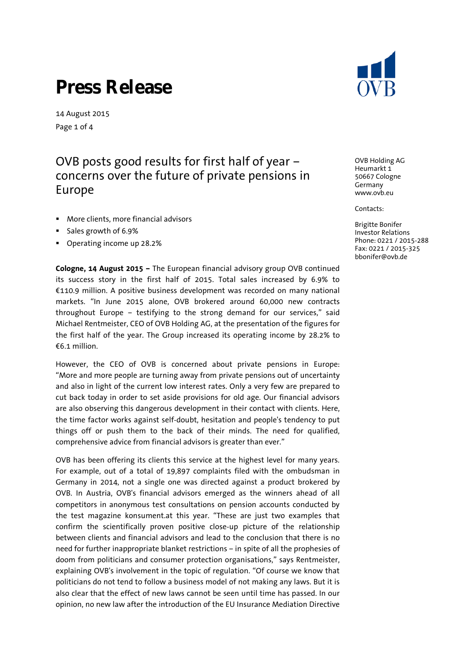14 August 2015 Page 1 of 4

### OVB posts good results for first half of year – concerns over the future of private pensions in Europe

- **More clients, more financial advisors**
- Sales growth of 6.9%
- Operating income up 28.2%

**Cologne, 14 August 2015 –** The European financial advisory group OVB continued its success story in the first half of 2015. Total sales increased by 6.9% to €110.9 million. A positive business development was recorded on many national markets. "In June 2015 alone, OVB brokered around 60,000 new contracts throughout Europe – testifying to the strong demand for our services," said Michael Rentmeister, CEO of OVB Holding AG, at the presentation of the figures for the first half of the year. The Group increased its operating income by 28.2% to €6.1 million.

However, the CEO of OVB is concerned about private pensions in Europe: "More and more people are turning away from private pensions out of uncertainty and also in light of the current low interest rates. Only a very few are prepared to cut back today in order to set aside provisions for old age. Our financial advisors are also observing this dangerous development in their contact with clients. Here, the time factor works against self-doubt, hesitation and people's tendency to put things off or push them to the back of their minds. The need for qualified, comprehensive advice from financial advisors is greater than ever."

OVB has been offering its clients this service at the highest level for many years. For example, out of a total of 19,897 complaints filed with the ombudsman in Germany in 2014, not a single one was directed against a product brokered by OVB. In Austria, OVB's financial advisors emerged as the winners ahead of all competitors in anonymous test consultations on pension accounts conducted by the test magazine konsument.at this year. "These are just two examples that confirm the scientifically proven positive close-up picture of the relationship between clients and financial advisors and lead to the conclusion that there is no need for further inappropriate blanket restrictions – in spite of all the prophesies of doom from politicians and consumer protection organisations," says Rentmeister, explaining OVB's involvement in the topic of regulation. "Of course we know that politicians do not tend to follow a business model of not making any laws. But it is also clear that the effect of new laws cannot be seen until time has passed. In our opinion, no new law after the introduction of the EU Insurance Mediation Directive



OVB Holding AG Heumarkt 1 50667 Cologne Germany www.ovb.eu

Contacts:

Brigitte Bonifer Investor Relations Phone: 0221 / 2015-288 Fax: 0221 / 2015-325 bbonifer@ovb.de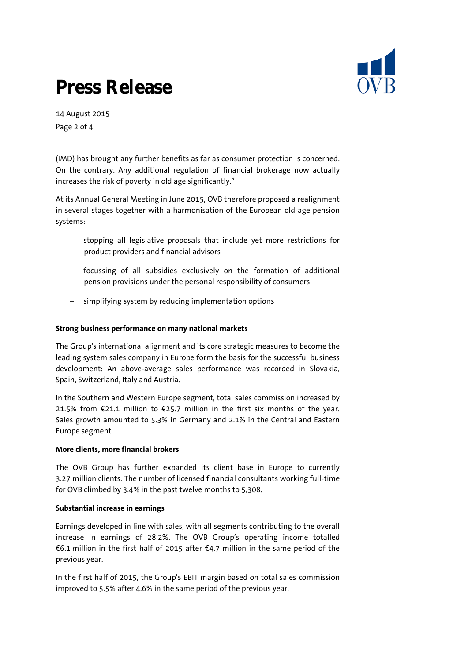

14 August 2015 Page 2 of 4

(IMD) has brought any further benefits as far as consumer protection is concerned. On the contrary. Any additional regulation of financial brokerage now actually increases the risk of poverty in old age significantly."

At its Annual General Meeting in June 2015, OVB therefore proposed a realignment in several stages together with a harmonisation of the European old-age pension systems:

- − stopping all legislative proposals that include yet more restrictions for product providers and financial advisors
- − focussing of all subsidies exclusively on the formation of additional pension provisions under the personal responsibility of consumers
- − simplifying system by reducing implementation options

### **Strong business performance on many national markets**

The Group's international alignment and its core strategic measures to become the leading system sales company in Europe form the basis for the successful business development: An above-average sales performance was recorded in Slovakia, Spain, Switzerland, Italy and Austria.

In the Southern and Western Europe segment, total sales commission increased by 21.5% from €21.1 million to €25.7 million in the first six months of the year. Sales growth amounted to 5.3% in Germany and 2.1% in the Central and Eastern Europe segment.

#### **More clients, more financial brokers**

The OVB Group has further expanded its client base in Europe to currently 3.27 million clients. The number of licensed financial consultants working full-time for OVB climbed by 3.4% in the past twelve months to 5,308.

#### **Substantial increase in earnings**

Earnings developed in line with sales, with all segments contributing to the overall increase in earnings of 28.2%. The OVB Group's operating income totalled €6.1 million in the first half of 2015 after €4.7 million in the same period of the previous year.

In the first half of 2015, the Group's EBIT margin based on total sales commission improved to 5.5% after 4.6% in the same period of the previous year.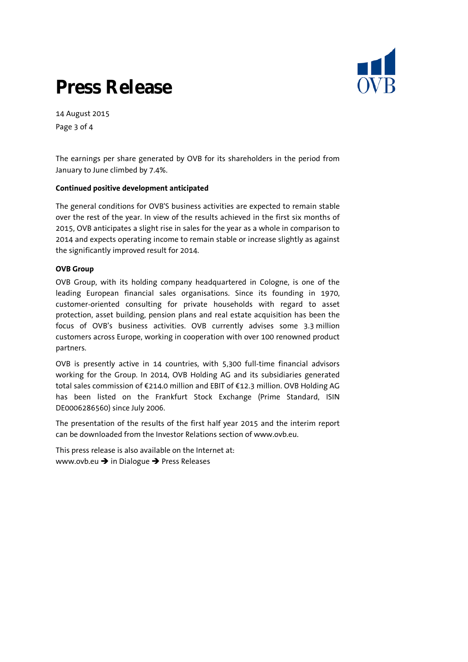

14 August 2015 Page 3 of 4

The earnings per share generated by OVB for its shareholders in the period from January to June climbed by 7.4%.

### **Continued positive development anticipated**

The general conditions for OVB'S business activities are expected to remain stable over the rest of the year. In view of the results achieved in the first six months of 2015, OVB anticipates a slight rise in sales for the year as a whole in comparison to 2014 and expects operating income to remain stable or increase slightly as against the significantly improved result for 2014.

#### **OVB Group**

OVB Group, with its holding company headquartered in Cologne, is one of the leading European financial sales organisations. Since its founding in 1970, customer-oriented consulting for private households with regard to asset protection, asset building, pension plans and real estate acquisition has been the focus of OVB's business activities. OVB currently advises some 3.3 million customers across Europe, working in cooperation with over 100 renowned product partners.

OVB is presently active in 14 countries, with 5,300 full-time financial advisors working for the Group. In 2014, OVB Holding AG and its subsidiaries generated total sales commission of €214.0 million and EBIT of €12.3 million. OVB Holding AG has been listed on the Frankfurt Stock Exchange (Prime Standard, ISIN DE0006286560) since July 2006.

The presentation of the results of the first half year 2015 and the interim report can be downloaded from the Investor Relations section of www.ovb.eu.

This press release is also available on the Internet at: www.ovb.eu  $\rightarrow$  in Dialogue  $\rightarrow$  Press Releases